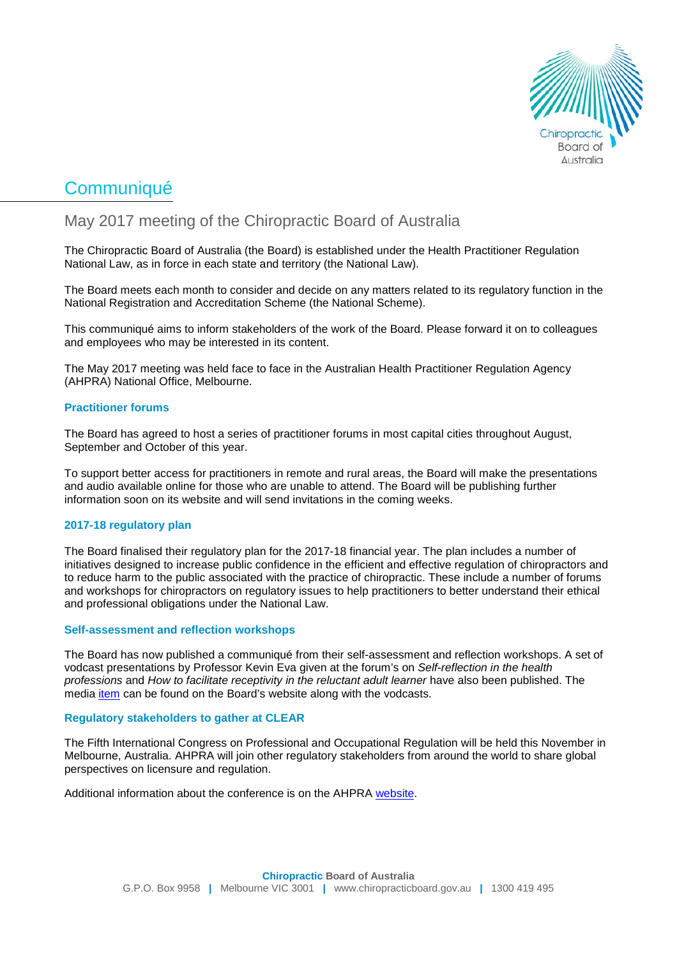

# **Communiqué**

# May 2017 meeting of the Chiropractic Board of Australia

The Chiropractic Board of Australia (the Board) is established under the Health Practitioner Regulation National Law, as in force in each state and territory (the National Law).

The Board meets each month to consider and decide on any matters related to its regulatory function in the National Registration and Accreditation Scheme (the National Scheme).

This communiqué aims to inform stakeholders of the work of the Board. Please forward it on to colleagues and employees who may be interested in its content.

The May 2017 meeting was held face to face in the Australian Health Practitioner Regulation Agency (AHPRA) National Office, Melbourne.

## **Practitioner forums**

The Board has agreed to host a series of practitioner forums in most capital cities throughout August, September and October of this year.

To support better access for practitioners in remote and rural areas, the Board will make the presentations and audio available online for those who are unable to attend. The Board will be publishing further information soon on its website and will send invitations in the coming weeks.

## **2017-18 regulatory plan**

The Board finalised their regulatory plan for the 2017-18 financial year. The plan includes a number of initiatives designed to increase public confidence in the efficient and effective regulation of chiropractors and to reduce harm to the public associated with the practice of chiropractic. These include a number of forums and workshops for chiropractors on regulatory issues to help practitioners to better understand their ethical and professional obligations under the National Law.

#### **Self-assessment and reflection workshops**

The Board has now published a communiqué from their self-assessment and reflection workshops. A set of vodcast presentations by Professor Kevin Eva given at the forum's on *Self-reflection in the health professions* and *How to facilitate receptivity in the reluctant adult learner* have also been published. The media [item](http://www.chiropracticboard.gov.au/News/2017-06-14-vodcasts.aspx) can be found on the Board's website along with the vodcasts.

#### **Regulatory stakeholders to gather at CLEAR**

The Fifth International Congress on Professional and Occupational Regulation will be held this November in Melbourne, Australia. AHPRA will join other regulatory stakeholders from around the world to share global perspectives on licensure and regulation.

Additional information about the conference is on the AHPRA [website.](http://www.ahpra.gov.au/News/2017-05-17-registration-opens-for-clear.aspx)